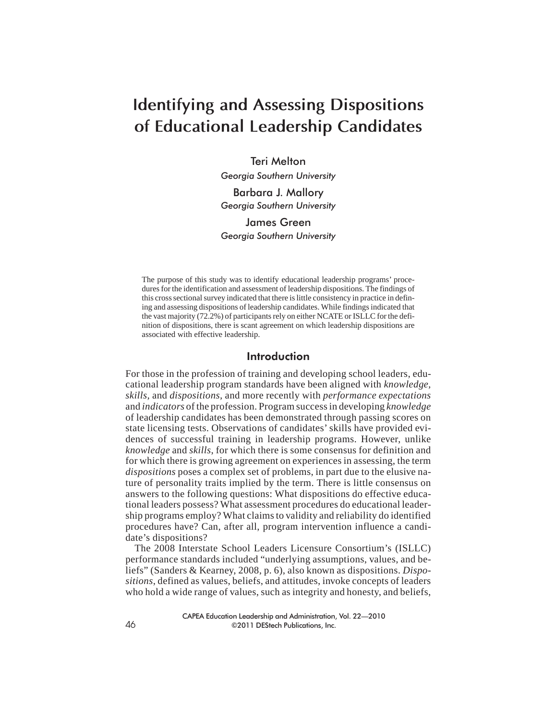# **Identifying and Assessing Dispositions of Educational Leadership Candidates**

Teri Melton *Georgia Southern University* Barbara J. Mallory *Georgia Southern University*

James Green *Georgia Southern University*

The purpose of this study was to identify educational leadership programs' procedures for the identification and assessment of leadership dispositions. The findings of this cross sectional survey indicated that there is little consistency in practice in defining and assessing dispositions of leadership candidates. While findings indicated that the vast majority (72.2%) of participants rely on either NCATE or ISLLC for the definition of dispositions, there is scant agreement on which leadership dispositions are associated with effective leadership.

## Introduction

For those in the profession of training and developing school leaders, educational leadership program standards have been aligned with *knowledge, skills,* and *dispositions,* and more recently with *performance expectations* and *indicators* of the profession. Program success in developing *knowledge* of leadership candidates has been demonstrated through passing scores on state licensing tests. Observations of candidates' skills have provided evidences of successful training in leadership programs. However, unlike *knowledge* and *skills*, for which there is some consensus for definition and for which there is growing agreement on experiences in assessing, the term *dispositions* poses a complex set of problems, in part due to the elusive nature of personality traits implied by the term. There is little consensus on answers to the following questions: What dispositions do effective educational leaders possess? What assessment procedures do educational leadership programs employ? What claims to validity and reliability do identified procedures have? Can, after all, program intervention influence a candidate's dispositions?

The 2008 Interstate School Leaders Licensure Consortium's (ISLLC) performance standards included "underlying assumptions, values, and beliefs" (Sanders & Kearney, 2008, p. 6), also known as dispositions. *Dispositions*, defined as values, beliefs, and attitudes, invoke concepts of leaders who hold a wide range of values, such as integrity and honesty, and beliefs,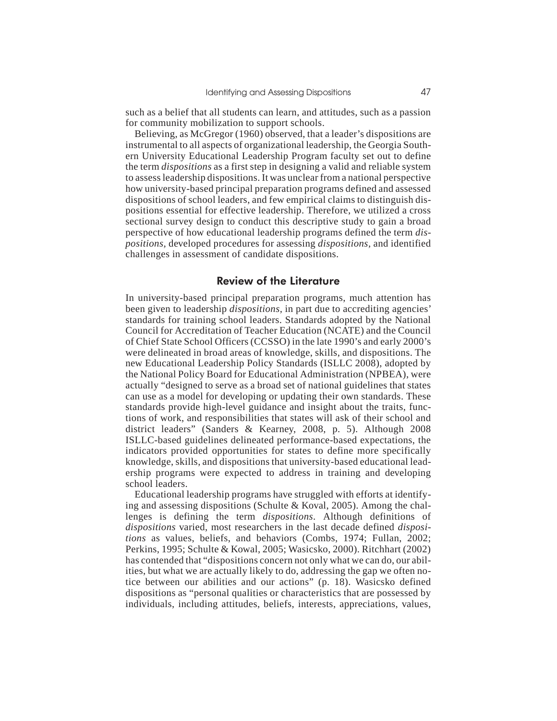such as a belief that all students can learn, and attitudes, such as a passion for community mobilization to support schools.

Believing, as McGregor (1960) observed, that a leader's dispositions are instrumental to all aspects of organizational leadership, the Georgia Southern University Educational Leadership Program faculty set out to define the term *dispositions* as a first step in designing a valid and reliable system to assess leadership dispositions. It was unclear from a national perspective how university-based principal preparation programs defined and assessed dispositions of school leaders, and few empirical claims to distinguish dispositions essential for effective leadership. Therefore, we utilized a cross sectional survey design to conduct this descriptive study to gain a broad perspective of how educational leadership programs defined the term *dispositions,* developed procedures for assessing *dispositions,* and identified challenges in assessment of candidate dispositions.

#### Review of the Literature

In university-based principal preparation programs, much attention has been given to leadership *dispositions,* in part due to accrediting agencies' standards for training school leaders. Standards adopted by the National Council for Accreditation of Teacher Education (NCATE) and the Council of Chief State School Officers (CCSSO) in the late 1990's and early 2000's were delineated in broad areas of knowledge, skills, and dispositions. The new Educational Leadership Policy Standards (ISLLC 2008), adopted by the National Policy Board for Educational Administration (NPBEA), were actually "designed to serve as a broad set of national guidelines that states can use as a model for developing or updating their own standards. These standards provide high-level guidance and insight about the traits, functions of work, and responsibilities that states will ask of their school and district leaders" (Sanders & Kearney, 2008, p. 5). Although 2008 ISLLC-based guidelines delineated performance-based expectations, the indicators provided opportunities for states to define more specifically knowledge, skills, and dispositions that university-based educational leadership programs were expected to address in training and developing school leaders.

Educational leadership programs have struggled with efforts at identifying and assessing dispositions (Schulte & Koval, 2005). Among the challenges is defining the term *dispositions*. Although definitions of *dispositions* varied, most researchers in the last decade defined *dispositions* as values, beliefs, and behaviors (Combs, 1974; Fullan, 2002; Perkins, 1995; Schulte & Kowal, 2005; Wasicsko, 2000). Ritchhart (2002) has contended that "dispositions concern not only what we can do, our abilities, but what we are actually likely to do, addressing the gap we often notice between our abilities and our actions" (p. 18). Wasicsko defined dispositions as "personal qualities or characteristics that are possessed by individuals, including attitudes, beliefs, interests, appreciations, values,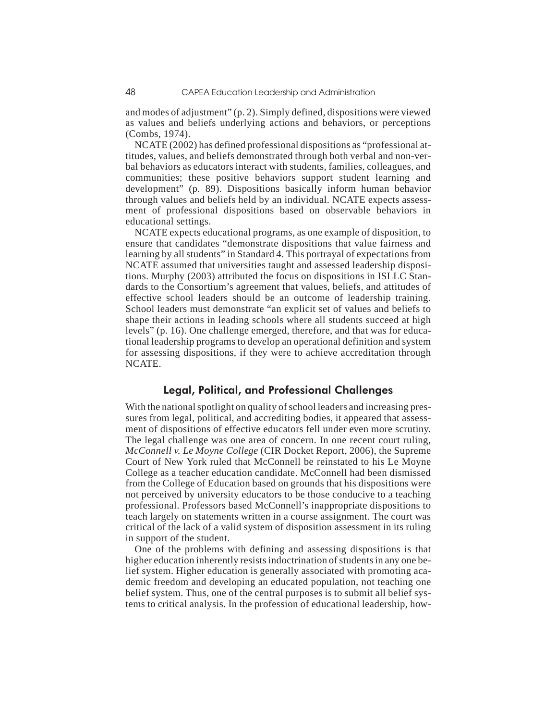and modes of adjustment" (p. 2). Simply defined, dispositions were viewed as values and beliefs underlying actions and behaviors, or perceptions (Combs, 1974).

NCATE (2002) has defined professional dispositions as "professional attitudes, values, and beliefs demonstrated through both verbal and non-verbal behaviors as educators interact with students, families, colleagues, and communities; these positive behaviors support student learning and development" (p. 89). Dispositions basically inform human behavior through values and beliefs held by an individual. NCATE expects assessment of professional dispositions based on observable behaviors in educational settings.

NCATE expects educational programs, as one example of disposition, to ensure that candidates "demonstrate dispositions that value fairness and learning by all students" in Standard 4. This portrayal of expectations from NCATE assumed that universities taught and assessed leadership dispositions. Murphy (2003) attributed the focus on dispositions in ISLLC Standards to the Consortium's agreement that values, beliefs, and attitudes of effective school leaders should be an outcome of leadership training. School leaders must demonstrate "an explicit set of values and beliefs to shape their actions in leading schools where all students succeed at high levels" (p. 16). One challenge emerged, therefore, and that was for educational leadership programs to develop an operational definition and system for assessing dispositions, if they were to achieve accreditation through NCATE.

## Legal, Political, and Professional Challenges

With the national spotlight on quality of school leaders and increasing pressures from legal, political, and accrediting bodies, it appeared that assessment of dispositions of effective educators fell under even more scrutiny. The legal challenge was one area of concern. In one recent court ruling, *McConnell v. Le Moyne College* (CIR Docket Report, 2006), the Supreme Court of New York ruled that McConnell be reinstated to his Le Moyne College as a teacher education candidate. McConnell had been dismissed from the College of Education based on grounds that his dispositions were not perceived by university educators to be those conducive to a teaching professional. Professors based McConnell's inappropriate dispositions to teach largely on statements written in a course assignment. The court was critical of the lack of a valid system of disposition assessment in its ruling in support of the student.

One of the problems with defining and assessing dispositions is that higher education inherently resists indoctrination of students in any one belief system. Higher education is generally associated with promoting academic freedom and developing an educated population, not teaching one belief system. Thus, one of the central purposes is to submit all belief systems to critical analysis. In the profession of educational leadership, how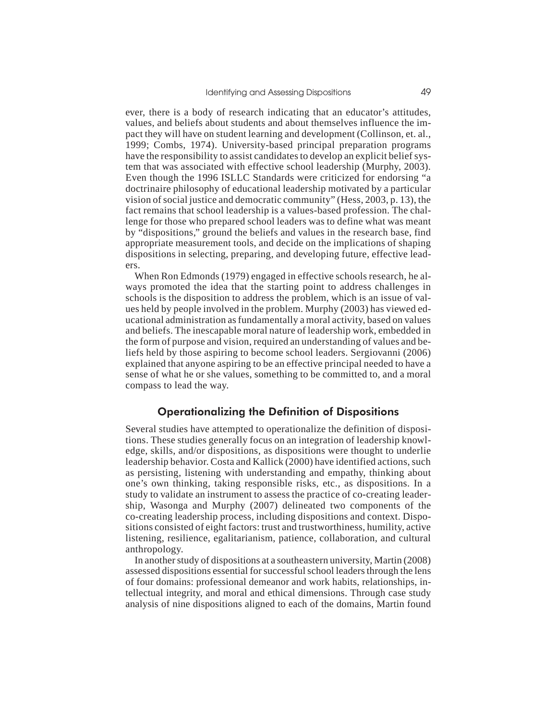ever, there is a body of research indicating that an educator's attitudes, values, and beliefs about students and about themselves influence the impact they will have on student learning and development (Collinson, et. al., 1999; Combs, 1974). University-based principal preparation programs have the responsibility to assist candidates to develop an explicit belief system that was associated with effective school leadership (Murphy, 2003). Even though the 1996 ISLLC Standards were criticized for endorsing "a doctrinaire philosophy of educational leadership motivated by a particular vision of social justice and democratic community" (Hess, 2003, p. 13), the fact remains that school leadership is a values-based profession. The challenge for those who prepared school leaders was to define what was meant by "dispositions," ground the beliefs and values in the research base, find appropriate measurement tools, and decide on the implications of shaping dispositions in selecting, preparing, and developing future, effective leaders.

When Ron Edmonds (1979) engaged in effective schools research, he always promoted the idea that the starting point to address challenges in schools is the disposition to address the problem, which is an issue of values held by people involved in the problem. Murphy (2003) has viewed educational administration as fundamentally a moral activity, based on values and beliefs. The inescapable moral nature of leadership work, embedded in the form of purpose and vision, required an understanding of values and beliefs held by those aspiring to become school leaders. Sergiovanni (2006) explained that anyone aspiring to be an effective principal needed to have a sense of what he or she values, something to be committed to, and a moral compass to lead the way.

## Operationalizing the Definition of Dispositions

Several studies have attempted to operationalize the definition of dispositions. These studies generally focus on an integration of leadership knowledge, skills, and/or dispositions, as dispositions were thought to underlie leadership behavior. Costa and Kallick (2000) have identified actions, such as persisting, listening with understanding and empathy, thinking about one's own thinking, taking responsible risks, etc., as dispositions. In a study to validate an instrument to assess the practice of co-creating leadership, Wasonga and Murphy (2007) delineated two components of the co-creating leadership process, including dispositions and context. Dispositions consisted of eight factors: trust and trustworthiness, humility, active listening, resilience, egalitarianism, patience, collaboration, and cultural anthropology.

In another study of dispositions at a southeastern university, Martin (2008) assessed dispositions essential for successful school leaders through the lens of four domains: professional demeanor and work habits, relationships, intellectual integrity, and moral and ethical dimensions. Through case study analysis of nine dispositions aligned to each of the domains, Martin found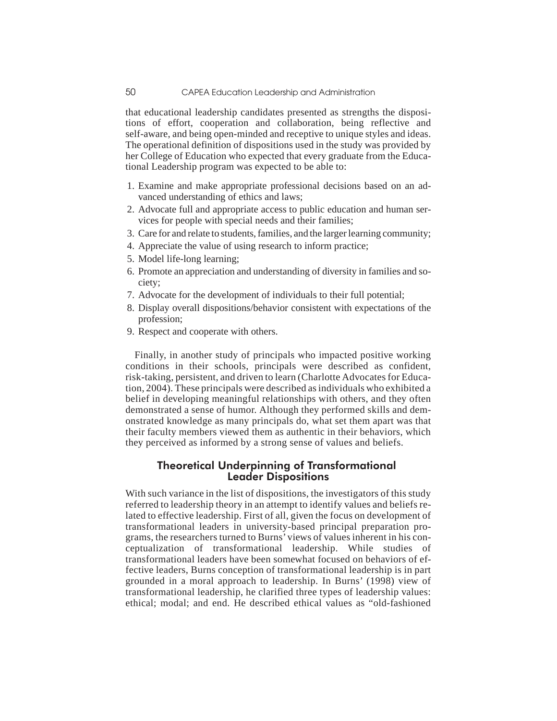that educational leadership candidates presented as strengths the dispositions of effort, cooperation and collaboration, being reflective and self-aware, and being open-minded and receptive to unique styles and ideas. The operational definition of dispositions used in the study was provided by her College of Education who expected that every graduate from the Educational Leadership program was expected to be able to:

- 1. Examine and make appropriate professional decisions based on an advanced understanding of ethics and laws;
- 2. Advocate full and appropriate access to public education and human services for people with special needs and their families;
- 3. Care for and relate to students, families, and the larger learning community;
- 4. Appreciate the value of using research to inform practice;
- 5. Model life-long learning;
- 6. Promote an appreciation and understanding of diversity in families and society;
- 7. Advocate for the development of individuals to their full potential;
- 8. Display overall dispositions/behavior consistent with expectations of the profession;
- 9. Respect and cooperate with others.

Finally, in another study of principals who impacted positive working conditions in their schools, principals were described as confident, risk-taking, persistent, and driven to learn (Charlotte Advocates for Education, 2004). These principals were described as individuals who exhibited a belief in developing meaningful relationships with others, and they often demonstrated a sense of humor. Although they performed skills and demonstrated knowledge as many principals do, what set them apart was that their faculty members viewed them as authentic in their behaviors, which they perceived as informed by a strong sense of values and beliefs.

## Theoretical Underpinning of Transformational Leader Dispositions

With such variance in the list of dispositions, the investigators of this study referred to leadership theory in an attempt to identify values and beliefs related to effective leadership. First of all, given the focus on development of transformational leaders in university-based principal preparation programs, the researchers turned to Burns' views of values inherent in his conceptualization of transformational leadership. While studies of transformational leaders have been somewhat focused on behaviors of effective leaders, Burns conception of transformational leadership is in part grounded in a moral approach to leadership. In Burns' (1998) view of transformational leadership, he clarified three types of leadership values: ethical; modal; and end. He described ethical values as "old-fashioned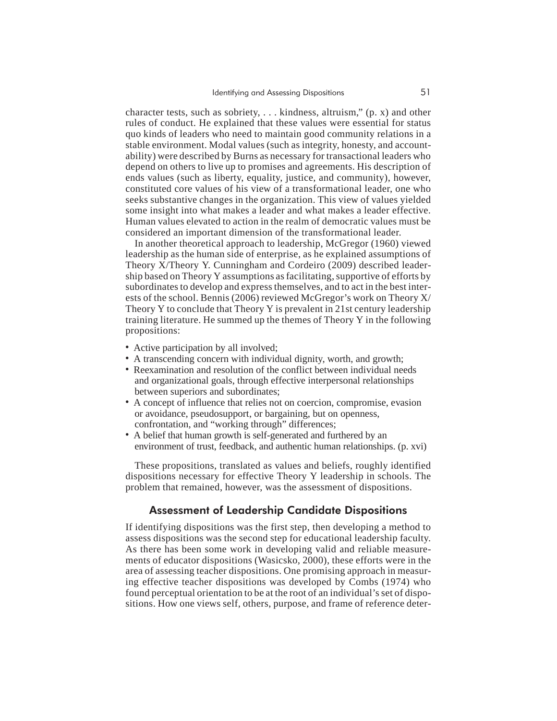character tests, such as sobriety, . . . kindness, altruism," (p. x) and other rules of conduct. He explained that these values were essential for status quo kinds of leaders who need to maintain good community relations in a stable environment. Modal values (such as integrity, honesty, and accountability) were described by Burns as necessary for transactional leaders who depend on others to live up to promises and agreements. His description of ends values (such as liberty, equality, justice, and community), however, constituted core values of his view of a transformational leader, one who seeks substantive changes in the organization. This view of values yielded some insight into what makes a leader and what makes a leader effective. Human values elevated to action in the realm of democratic values must be considered an important dimension of the transformational leader.

In another theoretical approach to leadership, McGregor (1960) viewed leadership as the human side of enterprise, as he explained assumptions of Theory X/Theory Y. Cunningham and Cordeiro (2009) described leadership based on Theory Y assumptions as facilitating, supportive of efforts by subordinates to develop and express themselves, and to act in the best interests of the school. Bennis (2006) reviewed McGregor's work on Theory X/ Theory Y to conclude that Theory Y is prevalent in 21st century leadership training literature. He summed up the themes of Theory Y in the following propositions:

- Active participation by all involved;
- A transcending concern with individual dignity, worth, and growth;
- Reexamination and resolution of the conflict between individual needs and organizational goals, through effective interpersonal relationships between superiors and subordinates;
- A concept of influence that relies not on coercion, compromise, evasion or avoidance, pseudosupport, or bargaining, but on openness, confrontation, and "working through" differences;
- A belief that human growth is self-generated and furthered by an environment of trust, feedback, and authentic human relationships. (p. xvi)

These propositions, translated as values and beliefs, roughly identified dispositions necessary for effective Theory Y leadership in schools. The problem that remained, however, was the assessment of dispositions.

## Assessment of Leadership Candidate Dispositions

If identifying dispositions was the first step, then developing a method to assess dispositions was the second step for educational leadership faculty. As there has been some work in developing valid and reliable measurements of educator dispositions (Wasicsko, 2000), these efforts were in the area of assessing teacher dispositions. One promising approach in measuring effective teacher dispositions was developed by Combs (1974) who found perceptual orientation to be at the root of an individual's set of dispositions. How one views self, others, purpose, and frame of reference deter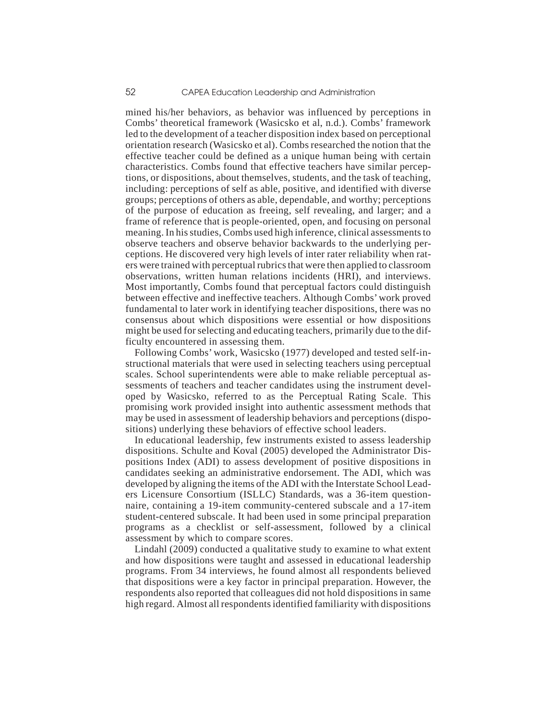mined his/her behaviors, as behavior was influenced by perceptions in Combs' theoretical framework (Wasicsko et al, n.d.). Combs' framework led to the development of a teacher disposition index based on perceptional orientation research (Wasicsko et al). Combs researched the notion that the effective teacher could be defined as a unique human being with certain characteristics. Combs found that effective teachers have similar perceptions, or dispositions, about themselves, students, and the task of teaching, including: perceptions of self as able, positive, and identified with diverse groups; perceptions of others as able, dependable, and worthy; perceptions of the purpose of education as freeing, self revealing, and larger; and a frame of reference that is people-oriented, open, and focusing on personal meaning. In his studies, Combs used high inference, clinical assessments to observe teachers and observe behavior backwards to the underlying perceptions. He discovered very high levels of inter rater reliability when raters were trained with perceptual rubrics that were then applied to classroom observations, written human relations incidents (HRI), and interviews. Most importantly, Combs found that perceptual factors could distinguish between effective and ineffective teachers. Although Combs' work proved fundamental to later work in identifying teacher dispositions, there was no consensus about which dispositions were essential or how dispositions might be used for selecting and educating teachers, primarily due to the difficulty encountered in assessing them.

Following Combs' work, Wasicsko (1977) developed and tested self-instructional materials that were used in selecting teachers using perceptual scales. School superintendents were able to make reliable perceptual assessments of teachers and teacher candidates using the instrument developed by Wasicsko, referred to as the Perceptual Rating Scale. This promising work provided insight into authentic assessment methods that may be used in assessment of leadership behaviors and perceptions (dispositions) underlying these behaviors of effective school leaders.

In educational leadership, few instruments existed to assess leadership dispositions. Schulte and Koval (2005) developed the Administrator Dispositions Index (ADI) to assess development of positive dispositions in candidates seeking an administrative endorsement. The ADI, which was developed by aligning the items of the ADI with the Interstate School Leaders Licensure Consortium (ISLLC) Standards, was a 36-item questionnaire, containing a 19-item community-centered subscale and a 17-item student-centered subscale. It had been used in some principal preparation programs as a checklist or self-assessment, followed by a clinical assessment by which to compare scores.

Lindahl (2009) conducted a qualitative study to examine to what extent and how dispositions were taught and assessed in educational leadership programs. From 34 interviews, he found almost all respondents believed that dispositions were a key factor in principal preparation. However, the respondents also reported that colleagues did not hold dispositions in same high regard. Almost all respondents identified familiarity with dispositions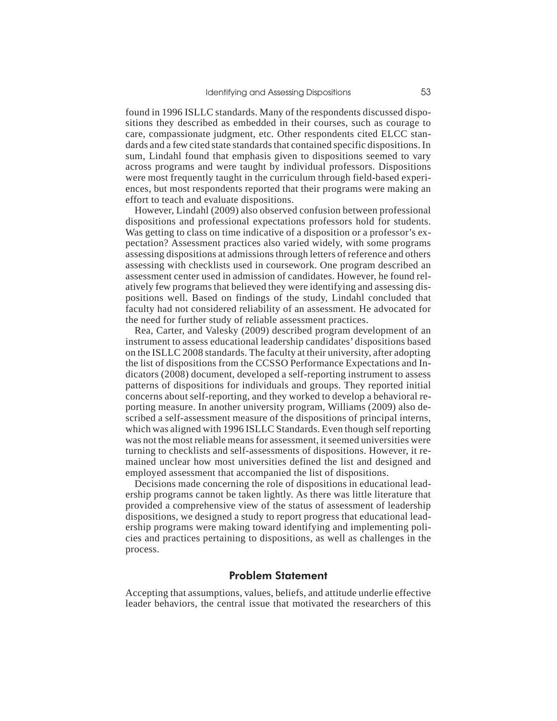found in 1996 ISLLC standards. Many of the respondents discussed dispositions they described as embedded in their courses, such as courage to care, compassionate judgment, etc. Other respondents cited ELCC standards and a few cited state standards that contained specific dispositions. In sum, Lindahl found that emphasis given to dispositions seemed to vary across programs and were taught by individual professors. Dispositions were most frequently taught in the curriculum through field-based experiences, but most respondents reported that their programs were making an effort to teach and evaluate dispositions.

However, Lindahl (2009) also observed confusion between professional dispositions and professional expectations professors hold for students. Was getting to class on time indicative of a disposition or a professor's expectation? Assessment practices also varied widely, with some programs assessing dispositions at admissions through letters of reference and others assessing with checklists used in coursework. One program described an assessment center used in admission of candidates. However, he found relatively few programs that believed they were identifying and assessing dispositions well. Based on findings of the study, Lindahl concluded that faculty had not considered reliability of an assessment. He advocated for the need for further study of reliable assessment practices.

Rea, Carter, and Valesky (2009) described program development of an instrument to assess educational leadership candidates' dispositions based on the ISLLC 2008 standards. The faculty at their university, after adopting the list of dispositions from the CCSSO Performance Expectations and Indicators (2008) document, developed a self-reporting instrument to assess patterns of dispositions for individuals and groups. They reported initial concerns about self-reporting, and they worked to develop a behavioral reporting measure. In another university program, Williams (2009) also described a self-assessment measure of the dispositions of principal interns, which was aligned with 1996 ISLLC Standards. Even though self reporting was not the most reliable means for assessment, it seemed universities were turning to checklists and self-assessments of dispositions. However, it remained unclear how most universities defined the list and designed and employed assessment that accompanied the list of dispositions.

Decisions made concerning the role of dispositions in educational leadership programs cannot be taken lightly. As there was little literature that provided a comprehensive view of the status of assessment of leadership dispositions, we designed a study to report progress that educational leadership programs were making toward identifying and implementing policies and practices pertaining to dispositions, as well as challenges in the process.

#### Problem Statement

Accepting that assumptions, values, beliefs, and attitude underlie effective leader behaviors, the central issue that motivated the researchers of this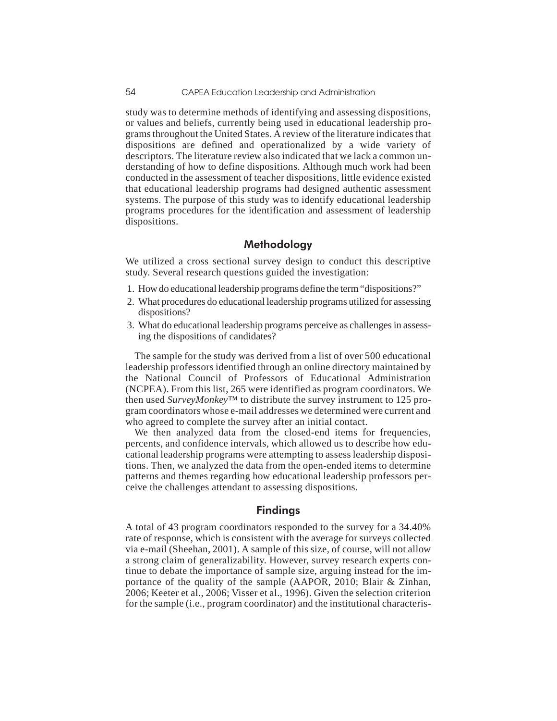study was to determine methods of identifying and assessing dispositions, or values and beliefs, currently being used in educational leadership programs throughout the United States. A review of the literature indicates that dispositions are defined and operationalized by a wide variety of descriptors. The literature review also indicated that we lack a common understanding of how to define dispositions. Although much work had been conducted in the assessment of teacher dispositions, little evidence existed that educational leadership programs had designed authentic assessment systems. The purpose of this study was to identify educational leadership programs procedures for the identification and assessment of leadership dispositions.

## Methodology

We utilized a cross sectional survey design to conduct this descriptive study. Several research questions guided the investigation:

- 1. How do educational leadership programs define the term "dispositions?"
- 2. What procedures do educational leadership programs utilized for assessing dispositions?
- 3. What do educational leadership programs perceive as challenges in assessing the dispositions of candidates?

The sample for the study was derived from a list of over 500 educational leadership professors identified through an online directory maintained by the National Council of Professors of Educational Administration (NCPEA). From this list, 265 were identified as program coordinators. We then used *SurveyMonkey*™ to distribute the survey instrument to 125 program coordinators whose e-mail addresses we determined were current and who agreed to complete the survey after an initial contact.

We then analyzed data from the closed-end items for frequencies, percents, and confidence intervals, which allowed us to describe how educational leadership programs were attempting to assess leadership dispositions. Then, we analyzed the data from the open-ended items to determine patterns and themes regarding how educational leadership professors perceive the challenges attendant to assessing dispositions.

## Findings

A total of 43 program coordinators responded to the survey for a 34.40% rate of response, which is consistent with the average for surveys collected via e-mail (Sheehan, 2001). A sample of this size, of course, will not allow a strong claim of generalizability. However, survey research experts continue to debate the importance of sample size, arguing instead for the importance of the quality of the sample (AAPOR, 2010; Blair & Zinhan, 2006; Keeter et al., 2006; Visser et al., 1996). Given the selection criterion for the sample (i.e., program coordinator) and the institutional characteris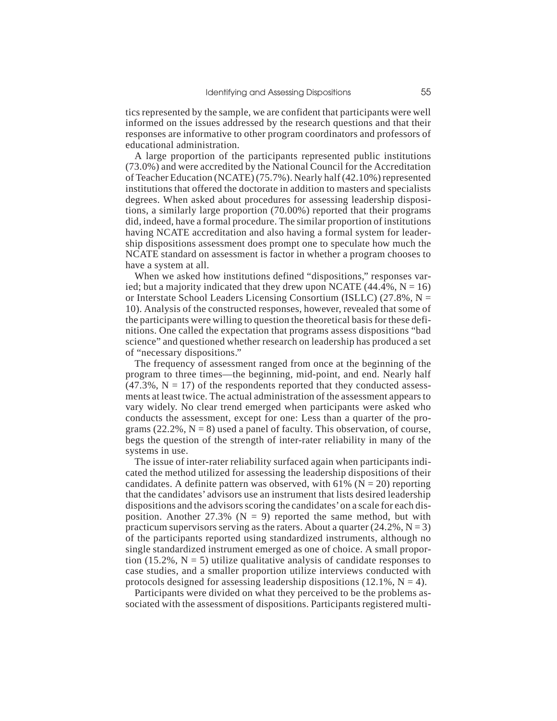tics represented by the sample, we are confident that participants were well informed on the issues addressed by the research questions and that their responses are informative to other program coordinators and professors of educational administration.

A large proportion of the participants represented public institutions (73.0%) and were accredited by the National Council for the Accreditation of Teacher Education (NCATE) (75.7%). Nearly half (42.10%) represented institutions that offered the doctorate in addition to masters and specialists degrees. When asked about procedures for assessing leadership dispositions, a similarly large proportion (70.00%) reported that their programs did, indeed, have a formal procedure. The similar proportion of institutions having NCATE accreditation and also having a formal system for leadership dispositions assessment does prompt one to speculate how much the NCATE standard on assessment is factor in whether a program chooses to have a system at all.

When we asked how institutions defined "dispositions," responses varied; but a majority indicated that they drew upon NCATE  $(44.4\%, N = 16)$ or Interstate School Leaders Licensing Consortium (ISLLC)  $(27.8\%, N =$ 10). Analysis of the constructed responses, however, revealed that some of the participants were willing to question the theoretical basis for these definitions. One called the expectation that programs assess dispositions "bad science" and questioned whether research on leadership has produced a set of "necessary dispositions."

The frequency of assessment ranged from once at the beginning of the program to three times—the beginning, mid-point, and end. Nearly half  $(47.3\%, N = 17)$  of the respondents reported that they conducted assessments at least twice. The actual administration of the assessment appears to vary widely. No clear trend emerged when participants were asked who conducts the assessment, except for one: Less than a quarter of the programs  $(22.2\%, N = 8)$  used a panel of faculty. This observation, of course, begs the question of the strength of inter-rater reliability in many of the systems in use.

The issue of inter-rater reliability surfaced again when participants indicated the method utilized for assessing the leadership dispositions of their candidates. A definite pattern was observed, with 61% ( $N = 20$ ) reporting that the candidates'advisors use an instrument that lists desired leadership dispositions and the advisors scoring the candidates'on a scale for each disposition. Another 27.3% ( $N = 9$ ) reported the same method, but with practicum supervisors serving as the raters. About a quarter  $(24.2\%, N=3)$ of the participants reported using standardized instruments, although no single standardized instrument emerged as one of choice. A small proportion (15.2%,  $N = 5$ ) utilize qualitative analysis of candidate responses to case studies, and a smaller proportion utilize interviews conducted with protocols designed for assessing leadership dispositions  $(12.1\%, N = 4)$ .

Participants were divided on what they perceived to be the problems associated with the assessment of dispositions. Participants registered multi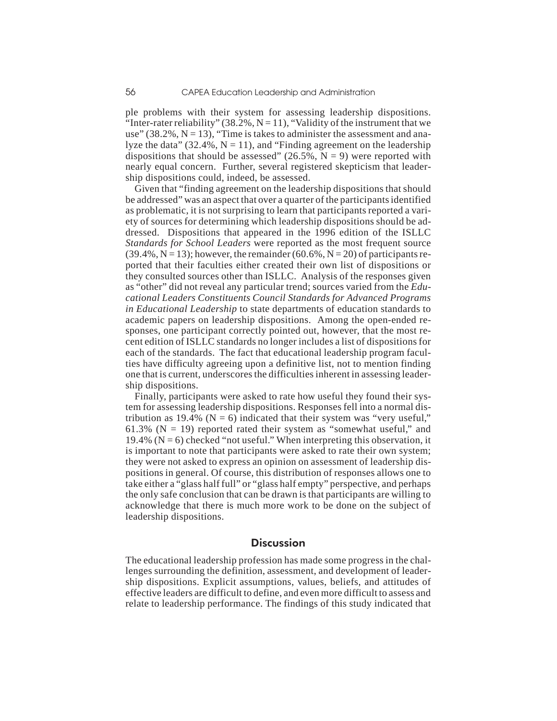ple problems with their system for assessing leadership dispositions. "Inter-rater reliability" (38.2%,  $N = 11$ ), "Validity of the instrument that we use" (38.2%,  $N = 13$ ), "Time is takes to administer the assessment and analyze the data" (32.4%,  $N = 11$ ), and "Finding agreement on the leadership dispositions that should be assessed" (26.5%,  $N = 9$ ) were reported with nearly equal concern. Further, several registered skepticism that leadership dispositions could, indeed, be assessed.

Given that "finding agreement on the leadership dispositions that should be addressed" was an aspect that over a quarter of the participants identified as problematic, it is not surprising to learn that participants reported a variety of sources for determining which leadership dispositions should be addressed. Dispositions that appeared in the 1996 edition of the ISLLC *Standards for School Leaders* were reported as the most frequent source  $(39.4\%, N = 13)$ ; however, the remainder  $(60.6\%, N = 20)$  of participants reported that their faculties either created their own list of dispositions or they consulted sources other than ISLLC. Analysis of the responses given as "other" did not reveal any particular trend; sources varied from the *Educational Leaders Constituents Council Standards for Advanced Programs in Educational Leadership* to state departments of education standards to academic papers on leadership dispositions. Among the open-ended responses, one participant correctly pointed out, however, that the most recent edition of ISLLC standards no longer includes a list of dispositions for each of the standards. The fact that educational leadership program faculties have difficulty agreeing upon a definitive list, not to mention finding one that is current, underscores the difficulties inherent in assessing leadership dispositions.

Finally, participants were asked to rate how useful they found their system for assessing leadership dispositions. Responses fell into a normal distribution as 19.4% ( $N = 6$ ) indicated that their system was "very useful," 61.3% ( $N = 19$ ) reported rated their system as "somewhat useful," and 19.4% ( $N = 6$ ) checked "not useful." When interpreting this observation, it is important to note that participants were asked to rate their own system; they were not asked to express an opinion on assessment of leadership dispositions in general. Of course, this distribution of responses allows one to take either a "glass half full" or "glass half empty" perspective, and perhaps the only safe conclusion that can be drawn is that participants are willing to acknowledge that there is much more work to be done on the subject of leadership dispositions.

## **Discussion**

The educational leadership profession has made some progress in the challenges surrounding the definition, assessment, and development of leadership dispositions. Explicit assumptions, values, beliefs, and attitudes of effective leaders are difficult to define, and even more difficult to assess and relate to leadership performance. The findings of this study indicated that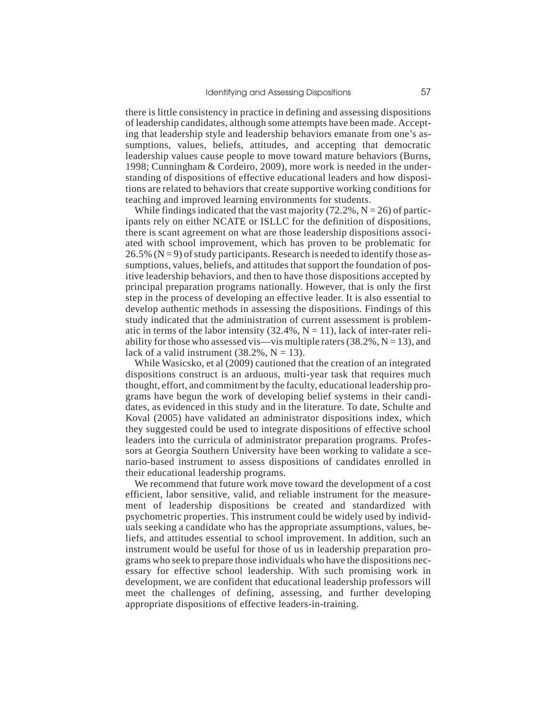there is little consistency in practice in defining and assessing dispositions of leadership candidates, although some attempts have been made. Accepting that leadership style and leadership behaviors emanate from one's assumptions, values, beliefs, attitudes, and accepting that democratic leadership values cause people to move toward mature behaviors (Burns, 1998; Cunningham & Cordeiro, 2009), more work is needed in the understanding of dispositions of effective educational leaders and how dispositions are related to behaviors that create supportive working conditions for teaching and improved learning environments for students.

While findings indicated that the vast majority (72.2%,  $N = 26$ ) of participants rely on either NCATE or ISLLC for the definition of dispositions, there is scant agreement on what are those leadership dispositions associated with school improvement, which has proven to be problematic for  $26.5\%$  (N = 9) of study participants. Research is needed to identify those assumptions, values, beliefs, and attitudes that support the foundation of positive leadership behaviors, and then to have those dispositions accepted by principal preparation programs nationally. However, that is only the first step in the process of developing an effective leader. It is also essential to develop authentic methods in assessing the dispositions. Findings of this study indicated that the administration of current assessment is problematic in terms of the labor intensity  $(32.4\%, N = 11)$ , lack of inter-rater reliability for those who assessed vis—vis multiple raters  $(38.2\%, N = 13)$ , and lack of a valid instrument  $(38.2\%, N = 13)$ .

While Wasicsko, et al (2009) cautioned that the creation of an integrated dispositions construct is an arduous, multi-year task that requires much thought, effort, and commitment by the faculty, educational leadership programs have begun the work of developing belief systems in their candidates, as evidenced in this study and in the literature. To date, Schulte and Koval (2005) have validated an administrator dispositions index, which they suggested could be used to integrate dispositions of effective school leaders into the curricula of administrator preparation programs. Professors at Georgia Southern University have been working to validate a scenario-based instrument to assess dispositions of candidates enrolled in their educational leadership programs.

We recommend that future work move toward the development of a cost efficient, labor sensitive, valid, and reliable instrument for the measurement of leadership dispositions be created and standardized with psychometric properties. This instrument could be widely used by individuals seeking a candidate who has the appropriate assumptions, values, beliefs, and attitudes essential to school improvement. In addition, such an instrument would be useful for those of us in leadership preparation programs who seek to prepare those individuals who have the dispositions necessary for effective school leadership. With such promising work in development, we are confident that educational leadership professors will meet the challenges of defining, assessing, and further developing appropriate dispositions of effective leaders-in-training.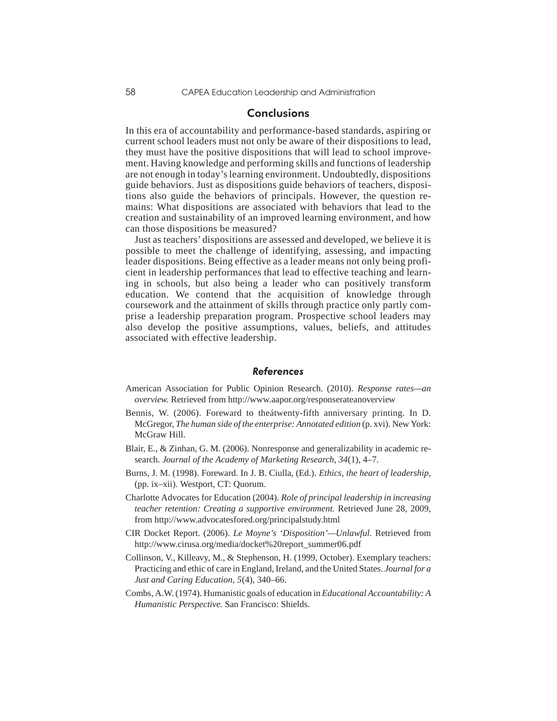### **Conclusions**

In this era of accountability and performance-based standards, aspiring or current school leaders must not only be aware of their dispositions to lead, they must have the positive dispositions that will lead to school improvement. Having knowledge and performing skills and functions of leadership are not enough in today's learning environment. Undoubtedly, dispositions guide behaviors. Just as dispositions guide behaviors of teachers, dispositions also guide the behaviors of principals. However, the question remains: What dispositions are associated with behaviors that lead to the creation and sustainability of an improved learning environment, and how can those dispositions be measured?

Just as teachers' dispositions are assessed and developed, we believe it is possible to meet the challenge of identifying, assessing, and impacting leader dispositions. Being effective as a leader means not only being proficient in leadership performances that lead to effective teaching and learning in schools, but also being a leader who can positively transform education. We contend that the acquisition of knowledge through coursework and the attainment of skills through practice only partly comprise a leadership preparation program. Prospective school leaders may also develop the positive assumptions, values, beliefs, and attitudes associated with effective leadership.

#### **References**

- American Association for Public Opinion Research. (2010). *Response rates—an overview.* Retrieved from http://www.aapor.org/responserateanoverview
- Bennis, W. (2006). Foreward to theátwenty-fifth anniversary printing. In D. McGregor, *The human side of the enterprise: Annotated edition* (p. xvi). New York: McGraw Hill.
- Blair, E., & Zinhan, G. M. (2006). Nonresponse and generalizability in academic research. *Journal of the Academy of Marketing Research, 34*(1), 4–7.
- Burns, J. M. (1998). Foreward. In J. B. Ciulla, (Ed.). *Ethics, the heart of leadership,* (pp. ix–xii). Westport, CT: Quorum.
- Charlotte Advocates for Education (2004). *Role of principal leadership in increasing teacher retention: Creating a supportive environment.* Retrieved June 28, 2009, from http://www.advocatesfored.org/principalstudy.html
- CIR Docket Report. (2006). *Le Moyne's 'Disposition'—Unlawful.* Retrieved from http://www.cirusa.org/media/docket%20report\_summer06.pdf
- Collinson, V., Killeavy, M., & Stephenson, H. (1999, October). Exemplary teachers: Practicing and ethic of care in England, Ireland, and the United States. *Journal for a Just and Caring Education, 5*(4), 340–66.
- Combs, A.W. (1974). Humanistic goals of education in *Educational Accountability: A Humanistic Perspective.* San Francisco: Shields.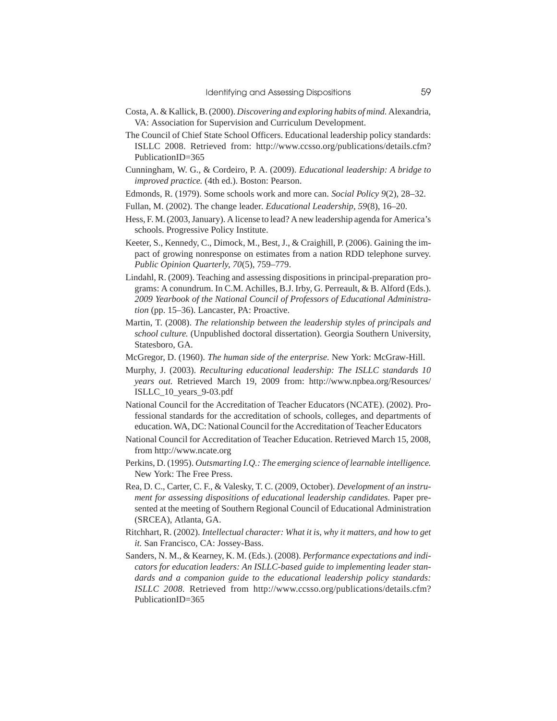- Costa, A. & Kallick, B. (2000). *Discovering and exploring habits of mind.* Alexandria, VA: Association for Supervision and Curriculum Development.
- The Council of Chief State School Officers. Educational leadership policy standards: ISLLC 2008. Retrieved from: http://www.ccsso.org/publications/details.cfm? PublicationID=365
- Cunningham, W. G., & Cordeiro, P. A. (2009). *Educational leadership: A bridge to improved practice.* (4th ed.). Boston: Pearson.
- Edmonds, R. (1979). Some schools work and more can. *Social Policy 9*(2), 28–32.
- Fullan, M. (2002). The change leader. *Educational Leadership, 59*(8), 16–20.
- Hess, F. M. (2003, January). A license to lead? A new leadership agenda for America's schools. Progressive Policy Institute.
- Keeter, S., Kennedy, C., Dimock, M., Best, J., & Craighill, P. (2006). Gaining the impact of growing nonresponse on estimates from a nation RDD telephone survey. *Public Opinion Quarterly, 70*(5), 759–779.
- Lindahl, R. (2009). Teaching and assessing dispositions in principal-preparation programs: A conundrum. In C.M. Achilles, B.J. Irby, G. Perreault, & B. Alford (Eds.). *2009 Yearbook of the National Council of Professors of Educational Administration* (pp. 15–36). Lancaster, PA: Proactive.
- Martin, T. (2008). *The relationship between the leadership styles of principals and school culture.* (Unpublished doctoral dissertation). Georgia Southern University, Statesboro, GA.
- McGregor, D. (1960). *The human side of the enterprise.* New York: McGraw-Hill.
- Murphy, J. (2003). *Reculturing educational leadership: The ISLLC standards 10 years out.* Retrieved March 19, 2009 from: http://www.npbea.org/Resources/ ISLLC\_10\_years\_9-03.pdf
- National Council for the Accreditation of Teacher Educators (NCATE). (2002). Professional standards for the accreditation of schools, colleges, and departments of education. WA, DC: National Council for the Accreditation of Teacher Educators
- National Council for Accreditation of Teacher Education. Retrieved March 15, 2008, from http://www.ncate.org
- Perkins, D. (1995). *Outsmarting I.Q.: The emerging science of learnable intelligence.* New York: The Free Press.
- Rea, D. C., Carter, C. F., & Valesky, T. C. (2009, October). *Development of an instrument for assessing dispositions of educational leadership candidates.* Paper presented at the meeting of Southern Regional Council of Educational Administration (SRCEA), Atlanta, GA.
- Ritchhart, R. (2002). *Intellectual character: What it is, why it matters, and how to get it.* San Francisco, CA: Jossey-Bass.
- Sanders, N. M., & Kearney, K. M. (Eds.). (2008). *Performance expectations and indicators for education leaders: An ISLLC-based guide to implementing leader standards and a companion guide to the educational leadership policy standards: ISLLC 2008.* Retrieved from http://www.ccsso.org/publications/details.cfm? PublicationID=365